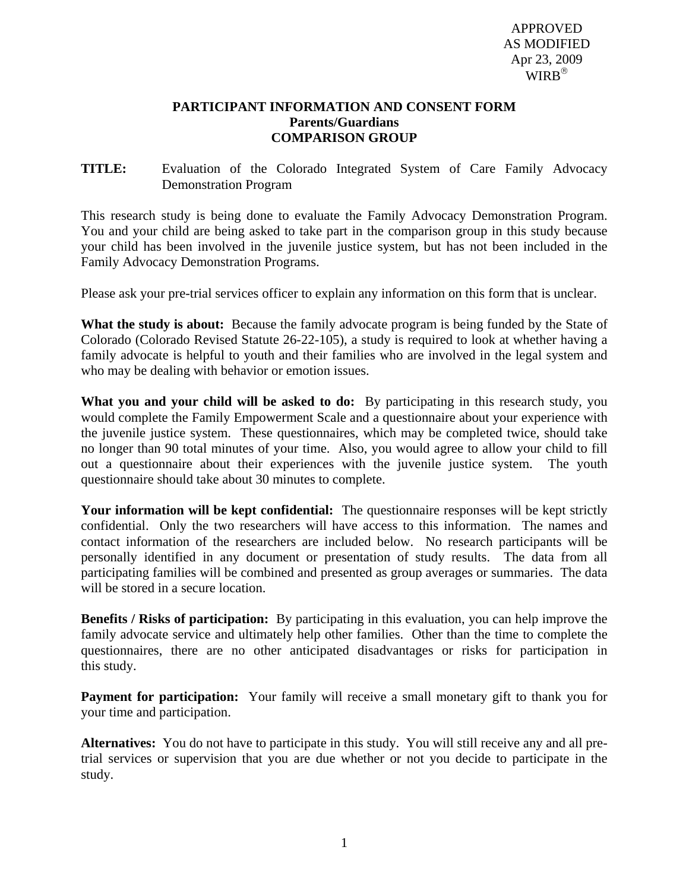APPROVED AS MODIFIED Apr 23, 2009 WIRB®

## **PARTICIPANT INFORMATION AND CONSENT FORM Parents/Guardians COMPARISON GROUP**

**TITLE:** Evaluation of the Colorado Integrated System of Care Family Advocacy Demonstration Program

This research study is being done to evaluate the Family Advocacy Demonstration Program. You and your child are being asked to take part in the comparison group in this study because your child has been involved in the juvenile justice system, but has not been included in the Family Advocacy Demonstration Programs.

Please ask your pre-trial services officer to explain any information on this form that is unclear.

**What the study is about:** Because the family advocate program is being funded by the State of Colorado (Colorado Revised Statute 26-22-105), a study is required to look at whether having a family advocate is helpful to youth and their families who are involved in the legal system and who may be dealing with behavior or emotion issues.

**What you and your child will be asked to do:** By participating in this research study, you would complete the Family Empowerment Scale and a questionnaire about your experience with the juvenile justice system. These questionnaires, which may be completed twice, should take no longer than 90 total minutes of your time. Also, you would agree to allow your child to fill out a questionnaire about their experiences with the juvenile justice system. The youth questionnaire should take about 30 minutes to complete.

**Your information will be kept confidential:** The questionnaire responses will be kept strictly confidential. Only the two researchers will have access to this information. The names and contact information of the researchers are included below. No research participants will be personally identified in any document or presentation of study results. The data from all participating families will be combined and presented as group averages or summaries. The data will be stored in a secure location.

**Benefits / Risks of participation:** By participating in this evaluation, you can help improve the family advocate service and ultimately help other families. Other than the time to complete the questionnaires, there are no other anticipated disadvantages or risks for participation in this study.

**Payment for participation:** Your family will receive a small monetary gift to thank you for your time and participation.

**Alternatives:** You do not have to participate in this study. You will still receive any and all pretrial services or supervision that you are due whether or not you decide to participate in the study.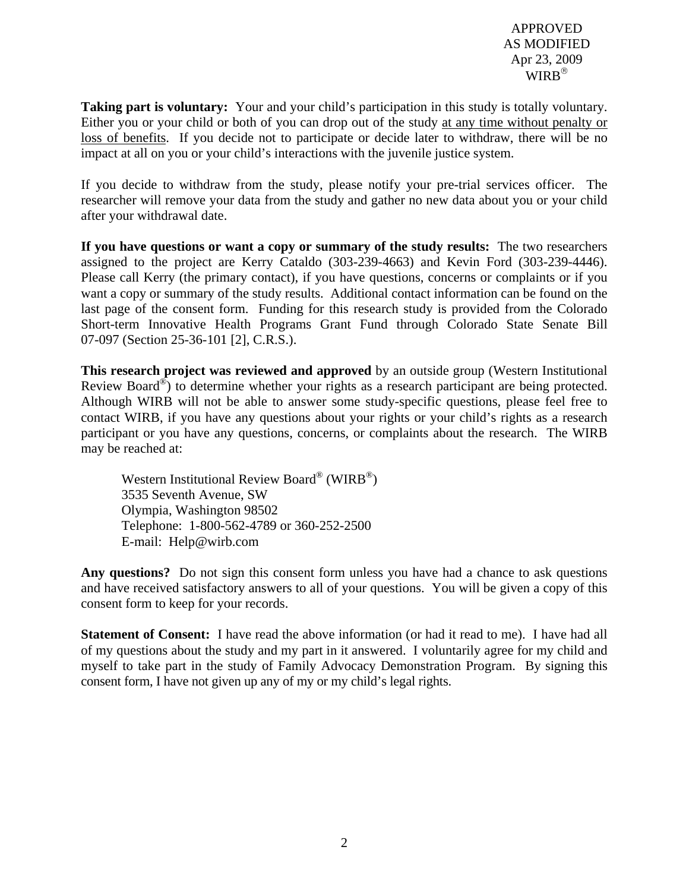APPROVED AS MODIFIED Apr 23, 2009  $WIRB^®$ 

**Taking part is voluntary:** Your and your child's participation in this study is totally voluntary. Either you or your child or both of you can drop out of the study at any time without penalty or loss of benefits. If you decide not to participate or decide later to withdraw, there will be no impact at all on you or your child's interactions with the juvenile justice system.

If you decide to withdraw from the study, please notify your pre-trial services officer. The researcher will remove your data from the study and gather no new data about you or your child after your withdrawal date.

**If you have questions or want a copy or summary of the study results:** The two researchers assigned to the project are Kerry Cataldo (303-239-4663) and Kevin Ford (303-239-4446). Please call Kerry (the primary contact), if you have questions, concerns or complaints or if you want a copy or summary of the study results. Additional contact information can be found on the last page of the consent form. Funding for this research study is provided from the Colorado Short-term Innovative Health Programs Grant Fund through Colorado State Senate Bill 07-097 (Section 25-36-101 [2], C.R.S.).

**This research project was reviewed and approved** by an outside group (Western Institutional Review Board<sup>®</sup>) to determine whether your rights as a research participant are being protected. Although WIRB will not be able to answer some study-specific questions, please feel free to contact WIRB, if you have any questions about your rights or your child's rights as a research participant or you have any questions, concerns, or complaints about the research. The WIRB may be reached at:

Western Institutional Review Board® (WIRB®) 3535 Seventh Avenue, SW Olympia, Washington 98502 Telephone: 1-800-562-4789 or 360-252-2500 E-mail: [Help@wirb.com](mailto:Help@wirb.com) 

**Any questions?** Do not sign this consent form unless you have had a chance to ask questions and have received satisfactory answers to all of your questions. You will be given a copy of this consent form to keep for your records.

**Statement of Consent:** I have read the above information (or had it read to me). I have had all of my questions about the study and my part in it answered. I voluntarily agree for my child and myself to take part in the study of Family Advocacy Demonstration Program. By signing this consent form, I have not given up any of my or my child's legal rights.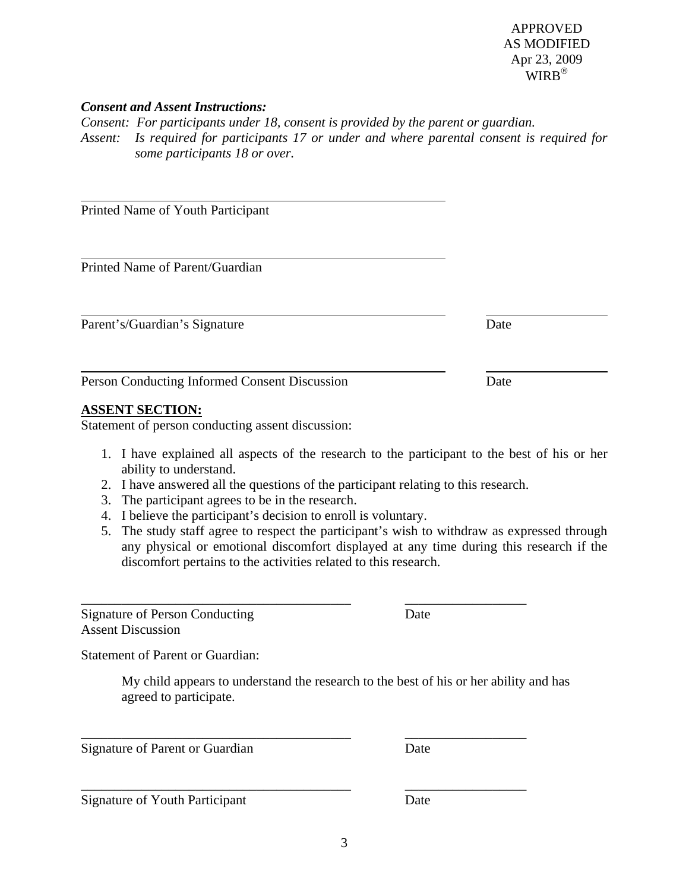\_\_\_\_\_\_\_\_\_\_\_\_\_\_\_\_\_\_\_\_\_\_\_\_\_\_\_\_\_\_\_\_\_\_\_\_\_\_\_\_ \_\_\_\_\_\_\_\_\_\_\_\_\_\_\_\_\_\_

 APPROVED AS MODIFIED Apr 23, 2009 WIRR®

## *Consent and Assent Instructions:*

*Consent: For participants under 18, consent is provided by the parent or guardian. Assent: Is required for participants 17 or under and where parental consent is required for some participants 18 or over.* 

Printed Name of Youth Participant

Printed Name of Parent/Guardian

Parent's/Guardian's Signature Date

Person Conducting Informed Consent Discussion Date

## **ASSENT SECTION:**

Statement of person conducting assent discussion:

- 1. I have explained all aspects of the research to the participant to the best of his or her ability to understand.
- 2. I have answered all the questions of the participant relating to this research.
- 3. The participant agrees to be in the research.
- 4. I believe the participant's decision to enroll is voluntary.
- 5. The study staff agree to respect the participant's wish to withdraw as expressed through any physical or emotional discomfort displayed at any time during this research if the discomfort pertains to the activities related to this research.

Signature of Person Conducting Date Assent Discussion

Statement of Parent or Guardian:

My child appears to understand the research to the best of his or her ability and has agreed to participate.

Signature of Parent or Guardian Date

Signature of Youth Participant Date

\_\_\_\_\_\_\_\_\_\_\_\_\_\_\_\_\_\_\_\_\_\_\_\_\_\_\_\_\_\_\_\_\_\_\_\_\_\_\_\_ \_\_\_\_\_\_\_\_\_\_\_\_\_\_\_\_\_\_

\_\_\_\_\_\_\_\_\_\_\_\_\_\_\_\_\_\_\_\_\_\_\_\_\_\_\_\_\_\_\_\_\_\_\_\_\_\_\_\_ \_\_\_\_\_\_\_\_\_\_\_\_\_\_\_\_\_\_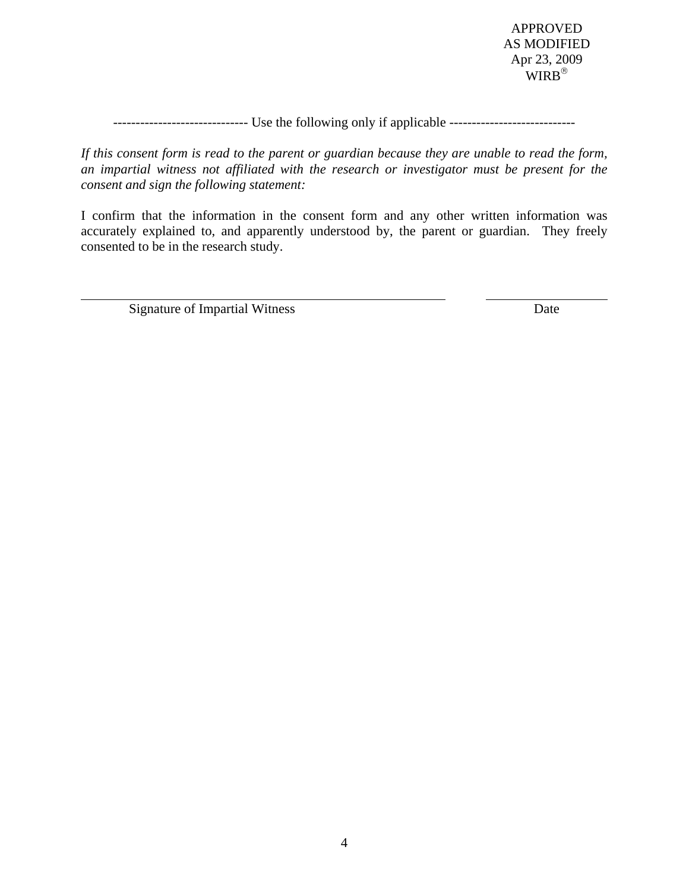APPROVED AS MODIFIED Apr 23, 2009 WIRB®

------------------------------ Use the following only if applicable ----------------------------

*If this consent form is read to the parent or guardian because they are unable to read the form, an impartial witness not affiliated with the research or investigator must be present for the consent and sign the following statement:* 

I confirm that the information in the consent form and any other written information was accurately explained to, and apparently understood by, the parent or guardian. They freely consented to be in the research study.

Signature of Impartial Witness Date